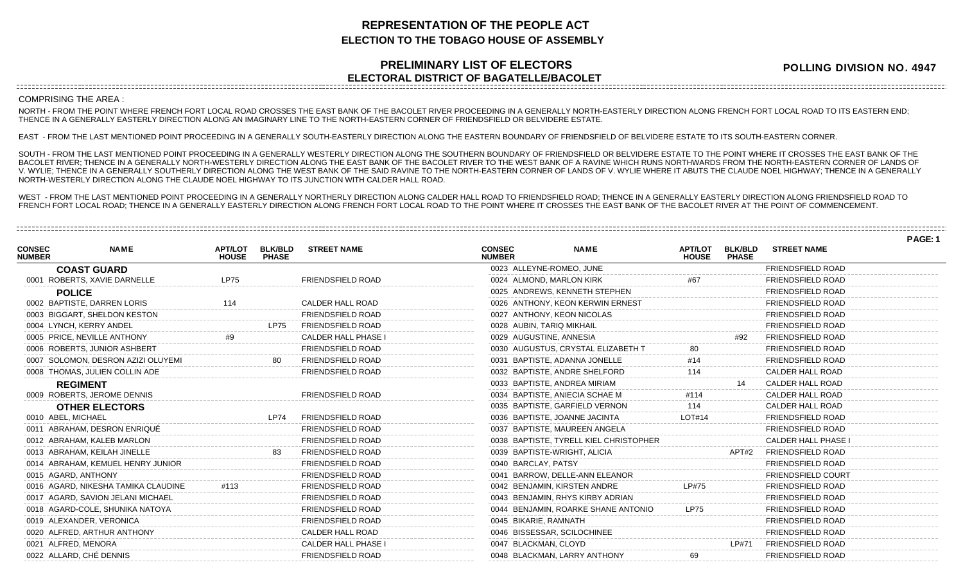## **REPRESENTATION OF THE PEOPLE ACT ELECTION TO THE TOBAGO HOUSE OF ASSEMBLY**

## **PRELIMINARY LIST OF ELECTORS ELECTORAL DISTRICT OF BAGATELLE/BACOLET**

**POLLING DIVISION NO. 4947**

## COMPRISING THE AREA :

NORTH - FROM THE POINT WHERE FRENCH FORT LOCAL ROAD CROSSES THE EAST BANK OF THE BACOLET RIVER PROCEEDING IN A GENERALLY NORTH-EASTERLY DIRECTION ALONG FRENCH FORT LOCAL ROAD TO ITS EASTERN END; THENCE IN A GENERALLY EASTERLY DIRECTION ALONG AN IMAGINARY LINE TO THE NORTH-EASTERN CORNER OF FRIENDSFIELD OR BELVIDERE ESTATE.

EAST - FROM THE LAST MENTIONED POINT PROCEEDING IN A GENERALLY SOUTH-EASTERLY DIRECTION ALONG THE EASTERN BOUNDARY OF FRIENDSFIELD OF BELVIDERE ESTATE TO ITS SOUTH-EASTERN CORNER.

SOUTH - FROM THE LAST MENTIONED POINT PROCEEDING IN A GENERALLY WESTERLY DIRECTION ALONG THE SOUTHERN BOUNDARY OF FRIENDSFIELD OR BELVIDERE ESTATE TO THE POINT WHERE IT CROSSES THE EAST BANK OF THE BACOLET RIVER; THENCE IN A GENERALLY NORTH-WESTERLY DIRECTION ALONG THE EAST BANK OF THE BACOLET RIVER TO THE WEST BANK OF A RAVINE WHICH RUNS NORTHWARDS FROM THE NORTH-EASTERN CORNER OF LANDS OF V. WYLIE; THENCE IN A GENERALLY SOUTHERLY DIRECTION ALONG THE WEST BANK OF THE SAID RAVINE TO THE NORTH-EASTERN CORNER OF LANDS OF V. WYLIE WHERE IT ABUTS THE CLAUDE NOEL HIGHWAY; THENCE IN A GENERALLY NORTH-WESTERLY DIRECTION ALONG THE CLAUDE NOEL HIGHWAY TO ITS JUNCTION WITH CALDER HALL ROAD.

WEST - FROM THE LAST MENTIONED POINT PROCEEDING IN A GENERALLY NORTHERLY DIRECTION ALONG CALDER HALL ROAD TO FRIENDSFIELD ROAD; THENCE IN A GENERALLY EASTERLY DIRECTION ALONG FRIENDSFIELD ROAD TO FRENCH FORT LOCAL ROAD; THENCE IN A GENERALLY EASTERLY DIRECTION ALONG FRENCH FORT LOCAL ROAD TO THE POINT WHERE IT CROSSES THE EAST BANK OF THE BACOLET RIVER AT THE POINT OF COMMENCEMENT.

|                                |                                     |                                |                                |                            |                                |                                        |                                |                                |                           | PAGE: 1 |
|--------------------------------|-------------------------------------|--------------------------------|--------------------------------|----------------------------|--------------------------------|----------------------------------------|--------------------------------|--------------------------------|---------------------------|---------|
| <b>CONSEC</b><br><b>NUMBER</b> | <b>NAME</b>                         | <b>APT/LOT</b><br><b>HOUSE</b> | <b>BLK/BLD</b><br><b>PHASE</b> | <b>STREET NAME</b>         | <b>CONSEC</b><br><b>NUMBER</b> | <b>NAME</b>                            | <b>APT/LOT</b><br><b>HOUSE</b> | <b>BLK/BLD</b><br><b>PHASE</b> | <b>STREET NAME</b>        |         |
|                                | <b>COAST GUARD</b>                  |                                |                                |                            | 0023 ALLEYNE-ROMEO, JUNE       |                                        |                                |                                | FRIENDSFIELD ROAD         |         |
|                                | 0001 ROBERTS, XAVIE DARNELLE        | <b>LP75</b>                    |                                | <b>FRIENDSFIELD ROAD</b>   | 0024 ALMOND, MARLON KIRK       |                                        |                                |                                | <b>FRIENDSFIELD ROAD</b>  |         |
|                                | <b>POLICE</b>                       |                                |                                |                            |                                | 0025 ANDREWS, KENNETH STEPHEN          |                                |                                | <b>FRIENDSFIELD ROAD</b>  |         |
|                                | 0002 BAPTISTE, DARREN LORIS         | 114                            |                                | CALDER HALL ROAD           |                                | 0026 ANTHONY, KEON KERWIN ERNEST       |                                |                                | <b>FRIENDSFIELD ROAD</b>  |         |
|                                | 0003 BIGGART, SHELDON KESTON        |                                |                                | <b>FRIENDSFIELD ROAD</b>   | 0027 ANTHONY, KEON NICOLAS     |                                        |                                |                                | <b>FRIENDSFIELD ROAD</b>  |         |
|                                | 0004 LYNCH, KERRY ANDEL             |                                | <b>LP75</b>                    | <b>FRIENDSFIELD ROAD</b>   | 0028 AUBIN, TARIQ MIKHAIL      |                                        |                                |                                | <b>FRIENDSFIELD ROAD</b>  |         |
|                                | 0005 PRICE, NEVILLE ANTHONY         | #9                             |                                | <b>CALDER HALL PHASE I</b> | 0029 AUGUSTINE, ANNESIA        |                                        |                                | #92                            | <b>FRIENDSFIELD ROAD</b>  |         |
|                                | 0006 ROBERTS, JUNIOR ASHBERT        |                                |                                | <b>FRIENDSFIELD ROAD</b>   |                                | 0030 AUGUSTUS, CRYSTAL ELIZABETH T     |                                |                                | <b>FRIENDSFIELD ROAD</b>  |         |
|                                | 0007 SOLOMON, DESRON AZIZI OLUYEMI  |                                |                                | <b>FRIENDSFIELD ROAD</b>   | 0031 BAPTISTE, ADANNA JONELLE  |                                        | #14                            |                                | <b>FRIENDSFIELD ROAD</b>  |         |
|                                | 0008 THOMAS, JULIEN COLLIN ADE      |                                |                                | <b>FRIENDSFIELD ROAD</b>   | 0032 BAPTISTE, ANDRE SHELFORD  |                                        | 114                            |                                | <b>CALDER HALL ROAD</b>   |         |
|                                | <b>REGIMENT</b>                     |                                |                                |                            | 0033 BAPTISTE, ANDREA MIRIAM   |                                        |                                |                                | <b>CALDER HALL ROAD</b>   |         |
|                                | 0009 ROBERTS, JEROME DENNIS         |                                |                                | <b>FRIENDSFIELD ROAD</b>   | 0034 BAPTISTE, ANIECIA SCHAE M |                                        | #114                           |                                | CALDER HALL ROAD          |         |
|                                | <b>OTHER ELECTORS</b>               |                                |                                |                            |                                | 0035 BAPTISTE, GARFIELD VERNON         | 114                            |                                | <b>CALDER HALL ROAD</b>   |         |
|                                | 0010 ABEL, MICHAEL                  |                                | <b>LP74</b>                    | <b>FRIENDSFIELD ROAD</b>   | 0036 BAPTISTE, JOANNE JACINTA  |                                        | LOT#14                         |                                | <b>FRIENDSFIELD ROAD</b>  |         |
|                                | 0011 ABRAHAM, DESRON ENRIQUE        |                                |                                | <b>FRIENDSFIELD ROAD</b>   |                                | 0037 BAPTISTE, MAUREEN ANGELA          |                                |                                | <b>FRIENDSFIELD ROAD</b>  |         |
|                                | 0012 ABRAHAM, KALEB MARLON          |                                |                                | <b>FRIENDSFIELD ROAD</b>   |                                | 0038 BAPTISTE, TYRELL KIEL CHRISTOPHER |                                |                                | CALDER HALL PHASE I       |         |
|                                | 0013 ABRAHAM, KEILAH JINELLE        |                                | 83                             | <b>FRIENDSFIELD ROAD</b>   | 0039 BAPTISTE-WRIGHT, ALICIA   |                                        |                                | APT#2                          | <b>FRIENDSFIELD ROAD</b>  |         |
|                                | 0014 ABRAHAM, KEMUEL HENRY JUNIOR   |                                |                                | <b>FRIENDSFIELD ROAD</b>   | 0040 BARCLAY, PATSY            |                                        |                                |                                | <b>FRIENDSFIELD ROAD</b>  |         |
|                                | 0015 AGARD, ANTHONY                 |                                |                                | <b>FRIENDSFIELD ROAD</b>   |                                | 0041 BARROW, DELLE-ANN ELEANOR         |                                |                                | <b>FRIENDSFIELD COURT</b> |         |
|                                | 0016 AGARD, NIKESHA TAMIKA CLAUDINE | #113                           |                                | <b>FRIENDSFIELD ROAD</b>   | 0042 BENJAMIN, KIRSTEN ANDRE   |                                        | LP#75                          |                                | <b>FRIENDSFIELD ROAD</b>  |         |
|                                | 0017 AGARD, SAVION JELANI MICHAEL   |                                |                                | <b>FRIENDSFIELD ROAD</b>   |                                | 0043 BENJAMIN, RHYS KIRBY ADRIAN       |                                |                                | <b>FRIENDSFIELD ROAD</b>  |         |
|                                | 0018 AGARD-COLE, SHUNIKA NATOYA     |                                |                                | <b>FRIENDSFIELD ROAD</b>   |                                | 0044 BENJAMIN, ROARKE SHANE ANTONIO    | <b>LP75</b>                    |                                | <b>FRIENDSFIELD ROAD</b>  |         |
|                                | 0019 ALEXANDER, VERONICA            |                                |                                | <b>FRIENDSFIELD ROAD</b>   | 0045 BIKARIE, RAMNATH          |                                        |                                |                                | <b>FRIENDSFIELD ROAD</b>  |         |
|                                | 0020 ALFRED, ARTHUR ANTHONY         |                                |                                | CALDER HALL ROAD           | 0046 BISSESSAR, SCILOCHINEE    |                                        |                                |                                | <b>FRIENDSFIELD ROAD</b>  |         |
|                                | 0021 ALFRED, MENORA                 |                                |                                | CALDER HALL PHASE I        | 0047 BLACKMAN, CLOYD           |                                        |                                | LP#71                          | <b>FRIENDSFIELD ROAD</b>  |         |
|                                | 0022 ALLARD, CHÉ DENNIS             |                                |                                | <b>FRIENDSFIELD ROAD</b>   | 0048 BLACKMAN, LARRY ANTHONY   |                                        | 69                             |                                | <b>FRIENDSFIELD ROAD</b>  |         |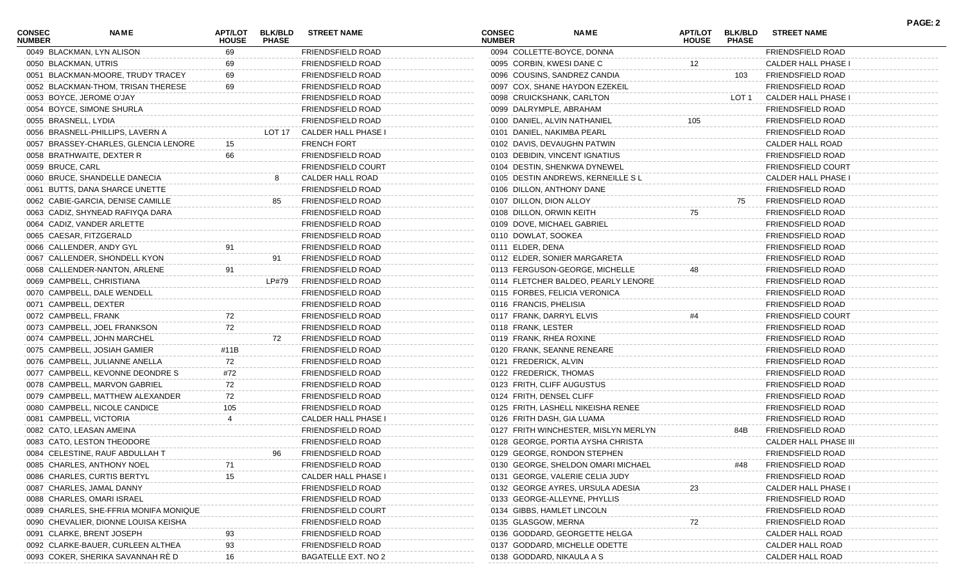| <b>CONSEC</b><br><b>NUMBER</b> | NAME                                   | APT/LOT<br><b>HOUSE</b> | <b>BLK/BLD</b><br><b>PHASE</b> | <b>STREET NAME</b>       | <b>CONSEC</b><br><b>NUMBER</b> |                            | <b>NAME</b>                          | APT/LOT<br><b>HOUSE</b> | <b>BLK/BLD</b><br><b>PHASE</b> | <b>STREET NAME</b>         | <b>PAGE: 2</b> |
|--------------------------------|----------------------------------------|-------------------------|--------------------------------|--------------------------|--------------------------------|----------------------------|--------------------------------------|-------------------------|--------------------------------|----------------------------|----------------|
|                                | 0049 BLACKMAN, LYN ALISON              | 69                      |                                | FRIENDSFIELD ROAD        |                                |                            | 0094 COLLETTE-BOYCE, DONNA           |                         |                                | FRIENDSFIELD ROAD          |                |
| 0050 BLACKMAN, UTRIS           |                                        | 69                      |                                | FRIENDSFIELD ROAD        |                                | 0095 CORBIN, KWESI DANE C  |                                      | 12                      |                                | <b>CALDER HALL PHASE I</b> |                |
|                                | 0051 BLACKMAN-MOORE, TRUDY TRACEY      | 69                      |                                | FRIENDSFIELD ROAD        |                                |                            | 0096 COUSINS, SANDREZ CANDIA         |                         | 103                            | FRIENDSFIELD ROAD          |                |
|                                | 0052 BLACKMAN-THOM, TRISAN THERESE     | 69                      |                                | FRIENDSFIELD ROAD        |                                |                            | 0097 COX, SHANE HAYDON EZEKEIL       |                         |                                | FRIENDSFIELD ROAD          |                |
|                                | 0053 BOYCE, JEROME O'JAY               |                         |                                | FRIENDSFIELD ROAD        |                                |                            | 0098 CRUICKSHANK, CARLTON            |                         | LOT 1                          | CALDER HALL PHASE I        |                |
|                                | 0054 BOYCE, SIMONE SHURLA              |                         |                                | FRIENDSFIELD ROAD        |                                | 0099 DALRYMPLE, ABRAHAM    |                                      |                         |                                | <b>FRIENDSFIELD ROAD</b>   |                |
| 0055 BRASNELL, LYDIA           |                                        |                         |                                | FRIENDSFIELD ROAD        |                                |                            | 0100 DANIEL, ALVIN NATHANIEL         | 105                     |                                | <b>FRIENDSFIELD ROAD</b>   |                |
|                                | 0056 BRASNELL-PHILLIPS, LAVERN A       |                         | LOT 17                         | CALDER HALL PHASE I      |                                | 0101 DANIEL, NAKIMBA PEARL |                                      |                         |                                | FRIENDSFIELD ROAD          |                |
|                                | 0057 BRASSEY-CHARLES, GLENCIA LENORE   | 15                      |                                | <b>FRENCH FORT</b>       |                                |                            | 0102 DAVIS, DEVAUGHN PATWIN          |                         |                                | CALDER HALL ROAD           |                |
|                                | 0058 BRATHWAITE, DEXTER R              | 66                      |                                | FRIENDSFIELD ROAD        |                                |                            | 0103 DEBIDIN, VINCENT IGNATIUS       |                         |                                | <b>FRIENDSFIELD ROAD</b>   |                |
| 0059 BRUCE, CARL               |                                        |                         |                                | FRIENDSFIELD COURT       |                                |                            | 0104 DESTIN, SHENKWA DYNEWEL         |                         |                                | <b>FRIENDSFIELD COURT</b>  |                |
|                                | 0060 BRUCE, SHANDELLE DANECIA          |                         | 8                              | CALDER HALL ROAD         |                                |                            | 0105 DESTIN ANDREWS, KERNEILLE SL    |                         |                                | <b>CALDER HALL PHASE I</b> |                |
|                                | 0061 BUTTS, DANA SHARCE UNETTE         |                         |                                | FRIENDSFIELD ROAD        |                                | 0106 DILLON, ANTHONY DANE  |                                      |                         |                                | FRIENDSFIELD ROAD          |                |
|                                | 0062 CABIE-GARCIA, DENISE CAMILLE      |                         | 85                             | <b>FRIENDSFIELD ROAD</b> |                                | 0107 DILLON, DION ALLOY    |                                      |                         | 75                             | FRIENDSFIELD ROAD          |                |
|                                | 0063 CADIZ, SHYNEAD RAFIYQA DARA       |                         |                                | FRIENDSFIELD ROAD        |                                | 0108 DILLON, ORWIN KEITH   |                                      | 75                      |                                | <b>FRIENDSFIELD ROAD</b>   |                |
|                                | 0064 CADIZ, VANDER ARLETTE             |                         |                                | FRIENDSFIELD ROAD        |                                |                            | 0109 DOVE, MICHAEL GABRIEL           |                         |                                | FRIENDSFIELD ROAD          |                |
|                                | 0065 CAESAR, FITZGERALD                |                         |                                | FRIENDSFIELD ROAD        |                                | 0110 DOWLAT, SOOKEA        |                                      |                         |                                | <b>FRIENDSFIELD ROAD</b>   |                |
|                                | 0066 CALLENDER, ANDY GYL               | 91                      |                                | FRIENDSFIELD ROAD        |                                | 0111 ELDER, DENA           |                                      |                         |                                | <b>FRIENDSFIELD ROAD</b>   |                |
|                                | 0067 CALLENDER, SHONDELL KYON          |                         | 91                             | <b>FRIENDSFIELD ROAD</b> |                                |                            | 0112 ELDER, SONIER MARGARETA         |                         |                                | <b>FRIENDSFIELD ROAD</b>   |                |
|                                | 0068 CALLENDER-NANTON, ARLENE          | 91                      |                                | FRIENDSFIELD ROAD        |                                |                            | 0113 FERGUSON-GEORGE, MICHELLE       | 48                      |                                | <b>FRIENDSFIELD ROAD</b>   |                |
|                                | 0069 CAMPBELL, CHRISTIANA              |                         | LP#79                          | FRIENDSFIELD ROAD        |                                |                            | 0114 FLETCHER BALDEO, PEARLY LENORE  |                         |                                | <b>FRIENDSFIELD ROAD</b>   |                |
|                                | 0070 CAMPBELL, DALE WENDELL            |                         |                                | FRIENDSFIELD ROAD        |                                |                            | 0115 FORBES, FELICIA VERONICA        |                         |                                | FRIENDSFIELD ROAD          |                |
| 0071 CAMPBELL, DEXTER          |                                        |                         |                                | FRIENDSFIELD ROAD        |                                | 0116 FRANCIS, PHELISIA     |                                      |                         |                                | <b>FRIENDSFIELD ROAD</b>   |                |
| 0072 CAMPBELL, FRANK           |                                        | 72                      |                                | FRIENDSFIELD ROAD        |                                | 0117 FRANK, DARRYL ELVIS   |                                      | #4                      |                                | FRIENDSFIELD COURT         |                |
|                                | 0073 CAMPBELL, JOEL FRANKSON           | 72                      |                                | <b>FRIENDSFIELD ROAD</b> |                                | 0118 FRANK, LESTER         |                                      |                         |                                | <b>FRIENDSFIELD ROAD</b>   |                |
|                                | 0074 CAMPBELL, JOHN MARCHEL            |                         | 72                             | <b>FRIENDSFIELD ROAD</b> |                                | 0119 FRANK, RHEA ROXINE    |                                      |                         |                                | <b>FRIENDSFIELD ROAD</b>   |                |
|                                | 0075 CAMPBELL, JOSIAH GAMIER           | #11B                    |                                | FRIENDSFIELD ROAD        |                                |                            | 0120 FRANK, SEANNE RENEARE           |                         |                                | <b>FRIENDSFIELD ROAD</b>   |                |
|                                | 0076 CAMPBELL, JULIANNE ANELLA         | 72                      |                                | FRIENDSFIELD ROAD        |                                | 0121 FREDERICK, ALVIN      |                                      |                         |                                | <b>FRIENDSFIELD ROAD</b>   |                |
|                                | 0077 CAMPBELL, KEVONNE DEONDRE S       | #72                     |                                | FRIENDSFIELD ROAD        |                                | 0122 FREDERICK, THOMAS     |                                      |                         |                                | <b>FRIENDSFIELD ROAD</b>   |                |
|                                | 0078 CAMPBELL, MARVON GABRIEL          | 72                      |                                | FRIENDSFIELD ROAD        |                                | 0123 FRITH, CLIFF AUGUSTUS |                                      |                         |                                | <b>FRIENDSFIELD ROAD</b>   |                |
|                                | 0079 CAMPBELL, MATTHEW ALEXANDER       | 72                      |                                | FRIENDSFIELD ROAD        |                                | 0124 FRITH, DENSEL CLIFF   |                                      |                         |                                | <b>FRIENDSFIELD ROAD</b>   |                |
|                                | 0080 CAMPBELL, NICOLE CANDICE          | 105                     |                                | FRIENDSFIELD ROAD        |                                |                            | 0125 FRITH, LASHELL NIKEISHA RENEE   |                         |                                | FRIENDSFIELD ROAD          |                |
| 0081 CAMPBELL, VICTORIA        |                                        |                         |                                | CALDER HALL PHASE I      |                                | 0126 FRITH DASH, GIA LUAMA |                                      |                         |                                | FRIENDSFIELD ROAD          |                |
|                                | 0082 CATO, LEASAN AMEINA               |                         |                                | FRIENDSFIELD ROAD        |                                |                            | 0127 FRITH WINCHESTER, MISLYN MERLYN |                         | 84B                            | FRIENDSFIELD ROAD          |                |
|                                | 0083 CATO, LESTON THEODORE             |                         |                                | FRIENDSFIELD ROAD        |                                |                            | 0128 GEORGE, PORTIA AYSHA CHRISTA    |                         |                                | CALDER HALL PHASE III      |                |
|                                | 0084 CELESTINE, RAUF ABDULLAH T        |                         | 96                             | FRIENDSFIELD ROAD        |                                |                            | 0129 GEORGE, RONDON STEPHEN          |                         |                                | FRIENDSFIELD ROAD          |                |
|                                | 0085 CHARLES, ANTHONY NOEL             | 71                      |                                | FRIENDSFIELD ROAD        |                                |                            | 0130 GEORGE, SHELDON OMARI MICHAEL   |                         | #48                            | <b>FRIENDSFIELD ROAD</b>   |                |
|                                | 0086 CHARLES, CURTIS BERTYL            | 15                      |                                | CALDER HALL PHASE I      |                                |                            | 0131 GEORGE, VALERIE CELIA JUDY      |                         |                                | FRIENDSFIELD ROAD          |                |
|                                | 0087 CHARLES, JAMAL DANNY              |                         |                                | FRIENDSFIELD ROAD        |                                |                            | 0132 GEORGE AYRES, URSULA ADESIA     | 23                      |                                | CALDER HALL PHASE I        |                |
|                                | 0088 CHARLES, OMARI ISRAEL             |                         |                                | FRIENDSFIELD ROAD        |                                |                            | 0133 GEORGE-ALLEYNE, PHYLLIS         |                         |                                | FRIENDSFIELD ROAD          |                |
|                                | 0089 CHARLES, SHE-FFRIA MONIFA MONIQUE |                         |                                | FRIENDSFIELD COURT       |                                |                            | 0134 GIBBS, HAMLET LINCOLN           |                         |                                | FRIENDSFIELD ROAD          |                |
|                                | 0090 CHEVALIER, DIONNE LOUISA KEISHA   |                         |                                | FRIENDSFIELD ROAD        |                                | 0135 GLASGOW, MERNA        |                                      | 72                      |                                | <b>FRIENDSFIELD ROAD</b>   |                |
|                                | 0091 CLARKE, BRENT JOSEPH              |                         |                                | FRIENDSFIELD ROAD        |                                |                            | 0136 GODDARD, GEORGETTE HELGA        |                         |                                | CALDER HALL ROAD           |                |
|                                | 0092 CLARKE-BAUER, CURLEEN ALTHEA      | 93                      |                                | FRIENDSFIELD ROAD        |                                |                            | 0137 GODDARD, MICHELLE ODETTE        |                         |                                | CALDER HALL ROAD           |                |
|                                | 0093 COKER, SHERIKA SAVANNAH RÉ D      | 16                      |                                | BAGATELLE EXT. NO 2      |                                | 0138 GODDARD, NIKAULA A S  |                                      |                         |                                | CALDER HALL ROAD           |                |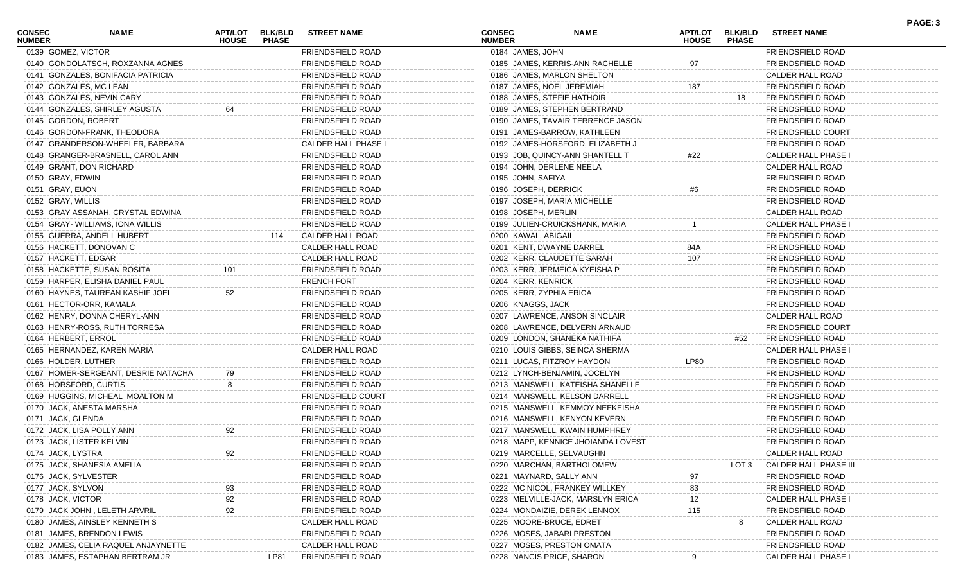| <b>CONSEC</b><br><b>NUMBER</b> | <b>NAME</b>                         | <b>HOUSE</b> | <b>PHASE</b> | APT/LOT BLK/BLD STREET NAME | <b>CONSEC</b><br><b>NUMBER</b> | <b>NAME</b>                        | <b>HOUSE</b> | APT/LOT BLK/BLD<br><b>PHASE</b> | <b>STREET NAME</b>         |  |
|--------------------------------|-------------------------------------|--------------|--------------|-----------------------------|--------------------------------|------------------------------------|--------------|---------------------------------|----------------------------|--|
|                                | 0139 GOMEZ, VICTOR                  |              |              | FRIENDSFIELD ROAD           |                                | 0184 JAMES, JOHN                   |              |                                 | FRIENDSFIELD ROAD          |  |
|                                | 0140 GONDOLATSCH, ROXZANNA AGNES    |              |              | <b>FRIENDSFIELD ROAD</b>    |                                | 0185 JAMES, KERRIS-ANN RACHELLE    | 97           |                                 | <b>FRIENDSFIELD ROAD</b>   |  |
|                                | 0141 GONZALES, BONIFACIA PATRICIA   |              |              | FRIENDSFIELD ROAD           |                                | 0186 JAMES, MARLON SHELTON         |              |                                 | CALDER HALL ROAD           |  |
|                                | 0142 GONZALES, MC LEAN              |              |              | FRIENDSFIELD ROAD           |                                | 0187 JAMES, NOEL JEREMIAH          | 187          |                                 | <b>FRIENDSFIELD ROAD</b>   |  |
|                                | 0143 GONZALES, NEVIN CARY           |              |              | FRIENDSFIELD ROAD           |                                | 0188 JAMES, STEFIE HATHOIR         |              | 18                              | <b>FRIENDSFIELD ROAD</b>   |  |
|                                | 0144 GONZALES, SHIRLEY AGUSTA       |              |              | FRIENDSFIELD ROAD           |                                | 0189 JAMES, STEPHEN BERTRAND       |              |                                 | <b>FRIENDSFIELD ROAD</b>   |  |
|                                | 0145 GORDON, ROBERT                 |              |              | FRIENDSFIELD ROAD           |                                | 0190 JAMES, TAVAIR TERRENCE JASON  |              |                                 | <b>FRIENDSFIELD ROAD</b>   |  |
|                                | 0146 GORDON-FRANK, THEODORA         |              |              | FRIENDSFIELD ROAD           |                                | 0191 JAMES-BARROW, KATHLEEN        |              |                                 | <b>FRIENDSFIELD COURT</b>  |  |
|                                | 0147 GRANDERSON-WHEELER, BARBARA    |              |              | CALDER HALL PHASE I         |                                | 0192 JAMES-HORSFORD, ELIZABETH J   |              |                                 | <b>FRIENDSFIELD ROAD</b>   |  |
|                                | 0148 GRANGER-BRASNELL, CAROL ANN    |              |              | FRIENDSFIELD ROAD           |                                | 0193 JOB, QUINCY-ANN SHANTELL T    | #22          |                                 | <b>CALDER HALL PHASE I</b> |  |
|                                | 0149 GRANT, DON RICHARD             |              |              | FRIENDSFIELD ROAD           |                                | 0194 JOHN, DERLENE NEELA           |              |                                 | CALDER HALL ROAD           |  |
|                                | 0150 GRAY, EDWIN                    |              |              | FRIENDSFIELD ROAD           |                                | 0195 JOHN, SAFIYA                  |              |                                 | <b>FRIENDSFIELD ROAD</b>   |  |
|                                | 0151 GRAY, EUON                     |              |              | FRIENDSFIELD ROAD           |                                | 0196 JOSEPH, DERRICK               |              |                                 | <b>FRIENDSFIELD ROAD</b>   |  |
|                                | 0152 GRAY, WILLIS                   |              |              | FRIENDSFIELD ROAD           |                                | 0197 JOSEPH, MARIA MICHELLE        |              |                                 | <b>FRIENDSFIELD ROAD</b>   |  |
|                                | 0153 GRAY ASSANAH, CRYSTAL EDWINA   |              |              | FRIENDSFIELD ROAD           |                                | 0198 JOSEPH, MERLIN                |              |                                 | CALDER HALL ROAD           |  |
|                                | 0154 GRAY- WILLIAMS, IONA WILLIS    |              |              | FRIENDSFIELD ROAD           |                                | 0199 JULIEN-CRUICKSHANK, MARIA     |              |                                 | <b>CALDER HALL PHASE I</b> |  |
|                                | 0155 GUERRA, ANDELL HUBERT          |              | 114          | CALDER HALL ROAD            |                                | 0200 KAWAL, ABIGAIL                |              |                                 | <b>FRIENDSFIELD ROAD</b>   |  |
|                                | 0156 HACKETT, DONOVAN C             |              |              | CALDER HALL ROAD            |                                | 0201 KENT, DWAYNE DARREL           | 84A          |                                 | <b>FRIENDSFIELD ROAD</b>   |  |
|                                | 0157 HACKETT, EDGAR                 |              |              | CALDER HALL ROAD            |                                | 0202 KERR, CLAUDETTE SARAH         | 107          |                                 | <b>FRIENDSFIELD ROAD</b>   |  |
|                                | 0158 HACKETTE, SUSAN ROSITA         | 101          |              | FRIENDSFIELD ROAD           |                                | 0203 KERR, JERMEICA KYEISHA P      |              |                                 | <b>FRIENDSFIELD ROAD</b>   |  |
|                                | 0159 HARPER, ELISHA DANIEL PAUL     |              |              | FRENCH FORT                 |                                | 0204 KERR, KENRICK                 |              |                                 | <b>FRIENDSFIELD ROAD</b>   |  |
|                                | 0160 HAYNES, TAUREAN KASHIF JOEL    | 52           |              | FRIENDSFIELD ROAD           |                                | 0205 KERR, ZYPHIA ERICA            |              |                                 | <b>FRIENDSFIELD ROAD</b>   |  |
|                                | 0161 HECTOR-ORR, KAMALA             |              |              | FRIENDSFIELD ROAD           |                                | 0206 KNAGGS, JACK                  |              |                                 | <b>FRIENDSFIELD ROAD</b>   |  |
|                                | 0162 HENRY, DONNA CHERYL-ANN        |              |              | FRIENDSFIELD ROAD           |                                | 0207 LAWRENCE, ANSON SINCLAIR      |              |                                 | CALDER HALL ROAD           |  |
|                                | 0163 HENRY-ROSS, RUTH TORRESA       |              |              | FRIENDSFIELD ROAD           |                                | 0208 LAWRENCE, DELVERN ARNAUD      |              |                                 | <b>FRIENDSFIELD COURT</b>  |  |
|                                | 0164 HERBERT, ERROL                 |              |              | FRIENDSFIELD ROAD           |                                | 0209 LONDON, SHANEKA NATHIFA       |              | #52                             | <b>FRIENDSFIELD ROAD</b>   |  |
|                                | 0165 HERNANDEZ, KAREN MARIA         |              |              | CALDER HALL ROAD            |                                | 0210 LOUIS GIBBS, SEINCA SHERMA    |              |                                 | <b>CALDER HALL PHASE I</b> |  |
|                                | 0166 HOLDER, LUTHER                 |              |              | FRIENDSFIELD ROAD           |                                | 0211 LUCAS, FITZROY HAYDON         | <b>LP80</b>  |                                 | <b>FRIENDSFIELD ROAD</b>   |  |
|                                | 0167 HOMER-SERGEANT, DESRIE NATACHA | 79           |              | FRIENDSFIELD ROAD           |                                | 0212 LYNCH-BENJAMIN, JOCELYN       |              |                                 | <b>FRIENDSFIELD ROAD</b>   |  |
|                                | 0168 HORSFORD, CURTIS               |              |              | FRIENDSFIELD ROAD           |                                | 0213 MANSWELL, KATEISHA SHANELLE   |              |                                 | <b>FRIENDSFIELD ROAD</b>   |  |
|                                | 0169 HUGGINS, MICHEAL MOALTON M     |              |              | FRIENDSFIELD COURT          |                                | 0214 MANSWELL, KELSON DARRELL      |              |                                 | <b>FRIENDSFIELD ROAD</b>   |  |
|                                | 0170 JACK, ANESTA MARSHA            |              |              | FRIENDSFIELD ROAD           |                                | 0215 MANSWELL, KEMMOY NEEKEISHA    |              |                                 | <b>FRIENDSFIELD ROAD</b>   |  |
|                                | 0171 JACK, GLENDA                   |              |              | FRIENDSFIELD ROAD           |                                | 0216 MANSWELL, KENYON KEVERN       |              |                                 | <b>FRIENDSFIELD ROAD</b>   |  |
|                                | 0172 JACK, LISA POLLY ANN           |              |              | FRIENDSFIELD ROAD           |                                | 0217 MANSWELL, KWAIN HUMPHREY      |              |                                 | FRIENDSFIELD ROAD          |  |
|                                | 0173 JACK, LISTER KELVIN            |              |              | FRIENDSFIELD ROAD           |                                | 0218 MAPP, KENNICE JHOIANDA LOVEST |              |                                 | FRIENDSFIELD ROAD          |  |
|                                | 0174 JACK, LYSTRA                   |              |              | FRIENDSFIELD ROAD           |                                | 0219 MARCELLE, SELVAUGHN           |              |                                 | CALDER HALL ROAD           |  |
|                                | 0175 JACK, SHANESIA AMELIA          |              |              | <b>FRIENDSFIELD ROAD</b>    |                                | 0220 MARCHAN, BARTHOLOMEW          |              | LOT 3                           | CALDER HALL PHASE III      |  |
|                                | 0176 JACK, SYLVESTER                |              |              | FRIENDSFIELD ROAD           |                                | 0221 MAYNARD, SALLY ANN            | 97           |                                 | <b>FRIENDSFIELD ROAD</b>   |  |
|                                | 0177 JACK, SYLVON                   |              |              | <b>FRIENDSFIELD ROAD</b>    |                                | 0222 MC NICOL, FRANKEY WILLKEY     | 83           |                                 | <b>FRIENDSFIELD ROAD</b>   |  |
|                                | 0178 JACK, VICTOR                   |              |              | <b>FRIENDSFIELD ROAD</b>    |                                | 0223 MELVILLE-JACK, MARSLYN ERICA  | 12           |                                 | CALDER HALL PHASE          |  |
|                                | 0179 JACK JOHN, LELETH ARVRIL       |              |              | FRIENDSFIELD ROAD           |                                | 0224 MONDAIZIE, DEREK LENNOX       | 115          |                                 | <b>FRIENDSFIELD ROAD</b>   |  |
|                                | 0180 JAMES, AINSLEY KENNETH S       |              |              | CALDER HALL ROAD            |                                | 0225 MOORE-BRUCE, EDRET            |              |                                 | CALDER HALL ROAD           |  |
|                                | 0181 JAMES, BRENDON LEWIS           |              |              | <b>FRIENDSFIELD ROAD</b>    |                                | 0226 MOSES, JABARI PRESTON         |              |                                 | FRIENDSFIELD ROAD          |  |
|                                | 0182 JAMES, CELIA RAQUEL ANJAYNETTE |              |              | <b>CALDER HALL ROAD</b>     |                                | 0227 MOSES, PRESTON OMATA          |              |                                 | <b>FRIENDSFIELD ROAD</b>   |  |
|                                | 0183 JAMES, ESTAPHAN BERTRAM JR     |              | LP81         | FRIENDSFIELD ROAD           |                                | 0228 NANCIS PRICE, SHARON          |              |                                 | CALDER HALL PHASE I        |  |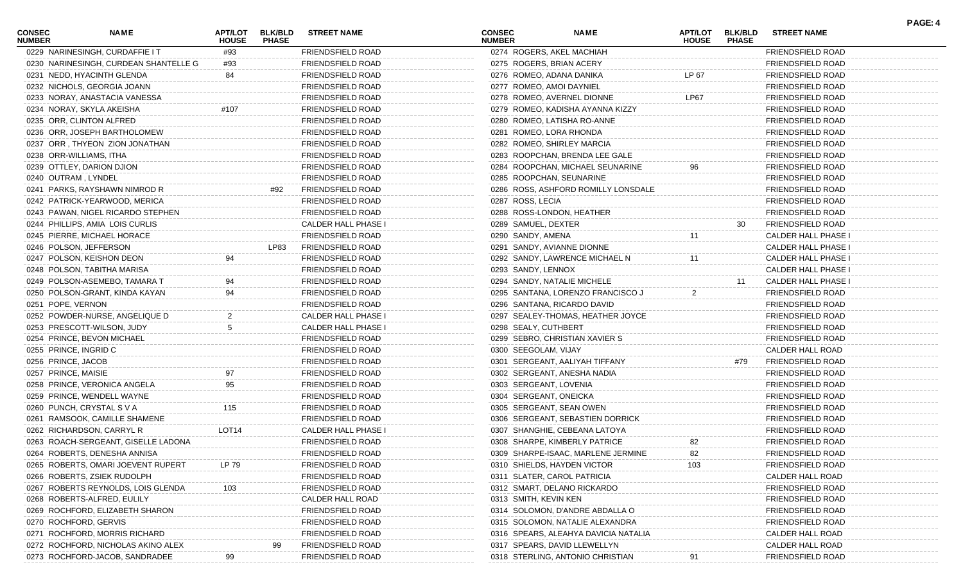| <b>CONSEC</b><br><b>NUMBER</b> | NAME                                  | <b>APT/LOT</b><br><b>HOUSE</b> | <b>BLK/BLD</b><br><b>PHASE</b> | <b>STREET NAME</b>       | <b>CONSEC</b><br><b>NUMBER</b> |                                  | <b>NAME</b>                          | APT/LOT<br><b>HOUSE</b> | <b>BLK/BLD</b><br><b>PHASE</b> | <b>STREET NAME</b>         | PAGE: 4 |
|--------------------------------|---------------------------------------|--------------------------------|--------------------------------|--------------------------|--------------------------------|----------------------------------|--------------------------------------|-------------------------|--------------------------------|----------------------------|---------|
|                                | 0229 NARINESINGH, CURDAFFIE IT        | #93                            |                                | FRIENDSFIELD ROAD        |                                | 0274 ROGERS, AKEL MACHIAH        |                                      |                         |                                | FRIENDSFIELD ROAD          |         |
|                                | 0230 NARINESINGH, CURDEAN SHANTELLE G | #93                            |                                | FRIENDSFIELD ROAD        |                                | 0275 ROGERS, BRIAN ACERY         |                                      |                         |                                | <b>FRIENDSFIELD ROAD</b>   |         |
|                                | 0231 NEDD, HYACINTH GLENDA            | 84                             |                                | FRIENDSFIELD ROAD        |                                | 0276 ROMEO, ADANA DANIKA         |                                      | LP 67                   |                                | FRIENDSFIELD ROAD          |         |
|                                | 0232 NICHOLS, GEORGIA JOANN           |                                |                                | FRIENDSFIELD ROAD        |                                | 0277 ROMEO, AMOI DAYNIEL         |                                      |                         |                                | FRIENDSFIELD ROAD          |         |
|                                | 0233 NORAY, ANASTACIA VANESSA         |                                |                                | FRIENDSFIELD ROAD        |                                | 0278 ROMEO, AVERNEL DIONNE       |                                      | LP67                    |                                | <b>FRIENDSFIELD ROAD</b>   |         |
|                                | 0234 NORAY, SKYLA AKEISHA             | #107                           |                                | FRIENDSFIELD ROAD        |                                | 0279 ROMEO, KADISHA AYANNA KIZZY |                                      |                         |                                | <b>FRIENDSFIELD ROAD</b>   |         |
|                                | 0235 ORR, CLINTON ALFRED              |                                |                                | FRIENDSFIELD ROAD        |                                | 0280 ROMEO, LATISHA RO-ANNE      |                                      |                         |                                | FRIENDSFIELD ROAD          |         |
|                                | 0236 ORR, JOSEPH BARTHOLOMEW          |                                |                                | FRIENDSFIELD ROAD        |                                | 0281 ROMEO, LORA RHONDA          |                                      |                         |                                | FRIENDSFIELD ROAD          |         |
|                                | 0237 ORR, THYEON ZION JONATHAN        |                                |                                | FRIENDSFIELD ROAD        |                                | 0282 ROMEO, SHIRLEY MARCIA       |                                      |                         |                                | <b>FRIENDSFIELD ROAD</b>   |         |
| 0238 ORR-WILLIAMS, ITHA        |                                       |                                |                                | FRIENDSFIELD ROAD        |                                | 0283 ROOPCHAN, BRENDA LEE GALE   |                                      |                         |                                | <b>FRIENDSFIELD ROAD</b>   |         |
|                                | 0239 OTTLEY, DARION DJION             |                                |                                | FRIENDSFIELD ROAD        |                                |                                  | 0284 ROOPCHAN, MICHAEL SEUNARINE     |                         |                                | FRIENDSFIELD ROAD          |         |
| 0240 OUTRAM, LYNDEL            |                                       |                                |                                | FRIENDSFIELD ROAD        |                                | 0285 ROOPCHAN, SEUNARINE         |                                      |                         |                                | FRIENDSFIELD ROAD          |         |
|                                | 0241 PARKS, RAYSHAWN NIMROD R         |                                | #92                            | FRIENDSFIELD ROAD        |                                |                                  | 0286 ROSS, ASHFORD ROMILLY LONSDALE  |                         |                                | <b>FRIENDSFIELD ROAD</b>   |         |
|                                | 0242 PATRICK-YEARWOOD, MERICA         |                                |                                | FRIENDSFIELD ROAD        |                                | 0287 ROSS, LECIA                 |                                      |                         |                                | FRIENDSFIELD ROAD          |         |
|                                | 0243 PAWAN, NIGEL RICARDO STEPHEN     |                                |                                | FRIENDSFIELD ROAD        |                                | 0288 ROSS-LONDON, HEATHER        |                                      |                         |                                | FRIENDSFIELD ROAD          |         |
|                                | 0244 PHILLIPS, AMIA LOIS CURLIS       |                                |                                | CALDER HALL PHASE I      |                                | 0289 SAMUEL, DEXTER              |                                      |                         | 30                             | FRIENDSFIELD ROAD          |         |
|                                | 0245 PIERRE, MICHAEL HORACE           |                                |                                | FRIENDSFIELD ROAD        |                                | 0290 SANDY, AMENA                |                                      | 11                      |                                | CALDER HALL PHASE I        |         |
|                                | 0246 POLSON, JEFFERSON                |                                | LP83                           | FRIENDSFIELD ROAD        |                                | 0291 SANDY, AVIANNE DIONNE       |                                      |                         |                                | CALDER HALL PHASE I        |         |
|                                | 0247 POLSON, KEISHON DEON             | 94                             |                                | FRIENDSFIELD ROAD        |                                | 0292 SANDY, LAWRENCE MICHAEL N   |                                      | 11                      |                                | <b>CALDER HALL PHASE I</b> |         |
|                                | 0248 POLSON, TABITHA MARISA           |                                |                                | FRIENDSFIELD ROAD        |                                | 0293 SANDY, LENNOX               |                                      |                         |                                | CALDER HALL PHASE I        |         |
|                                | 0249 POLSON-ASEMEBO, TAMARA T         | 94                             |                                | FRIENDSFIELD ROAD        |                                | 0294 SANDY, NATALIE MICHELE      |                                      |                         | 11                             | CALDER HALL PHASE I        |         |
|                                | 0250 POLSON-GRANT, KINDA KAYAN        | 94                             |                                | FRIENDSFIELD ROAD        |                                |                                  | 0295 SANTANA, LORENZO FRANCISCO J    | 2                       |                                | FRIENDSFIELD ROAD          |         |
| 0251 POPE, VERNON              |                                       |                                |                                | FRIENDSFIELD ROAD        |                                | 0296 SANTANA, RICARDO DAVID      |                                      |                         |                                | FRIENDSFIELD ROAD          |         |
|                                | 0252 POWDER-NURSE, ANGELIQUE D        |                                |                                | CALDER HALL PHASE I      |                                |                                  | 0297 SEALEY-THOMAS, HEATHER JOYCE    |                         |                                | <b>FRIENDSFIELD ROAD</b>   |         |
|                                | 0253 PRESCOTT-WILSON, JUDY            | 5                              |                                | CALDER HALL PHASE I      |                                | 0298 SEALY, CUTHBERT             |                                      |                         |                                | <b>FRIENDSFIELD ROAD</b>   |         |
|                                | 0254 PRINCE, BEVON MICHAEL            |                                |                                | FRIENDSFIELD ROAD        |                                | 0299 SEBRO, CHRISTIAN XAVIER S   |                                      |                         |                                | <b>FRIENDSFIELD ROAD</b>   |         |
| 0255 PRINCE, INGRID C          |                                       |                                |                                | FRIENDSFIELD ROAD        |                                | 0300 SEEGOLAM, VIJAY             |                                      |                         |                                | CALDER HALL ROAD           |         |
| 0256 PRINCE, JACOB             |                                       |                                |                                | FRIENDSFIELD ROAD        |                                | 0301 SERGEANT, AALIYAH TIFFANY   |                                      |                         | #79                            | FRIENDSFIELD ROAD          |         |
| 0257 PRINCE, MAISIE            |                                       | 97                             |                                | FRIENDSFIELD ROAD        |                                | 0302 SERGEANT, ANESHA NADIA      |                                      |                         |                                | <b>FRIENDSFIELD ROAD</b>   |         |
|                                | 0258 PRINCE, VERONICA ANGELA          | 95                             |                                | FRIENDSFIELD ROAD        |                                | 0303 SERGEANT, LOVENIA           |                                      |                         |                                | <b>FRIENDSFIELD ROAD</b>   |         |
|                                | 0259 PRINCE, WENDELL WAYNE            |                                |                                | FRIENDSFIELD ROAD        |                                | 0304 SERGEANT, ONEICKA           |                                      |                         |                                | <b>FRIENDSFIELD ROAD</b>   |         |
|                                | 0260 PUNCH, CRYSTAL S V A             | 115                            |                                | FRIENDSFIELD ROAD        |                                | 0305 SERGEANT, SEAN OWEN         |                                      |                         |                                | FRIENDSFIELD ROAD          |         |
|                                | 0261 RAMSOOK, CAMILLE SHAMENE         |                                |                                | FRIENDSFIELD ROAD        |                                |                                  | 0306 SERGEANT, SEBASTIEN DORRICK     |                         |                                | <b>FRIENDSFIELD ROAD</b>   |         |
|                                | 0262 RICHARDSON, CARRYL R             | LOT <sub>14</sub>              |                                | CALDER HALL PHASE I      |                                | 0307 SHANGHIE, CEBEANA LATOYA    |                                      |                         |                                | <b>FRIENDSFIELD ROAD</b>   |         |
|                                | 0263 ROACH-SERGEANT, GISELLE LADONA   |                                |                                | FRIENDSFIELD ROAD        |                                | 0308 SHARPE, KIMBERLY PATRICE    |                                      | 82                      |                                | FRIENDSFIELD ROAD          |         |
|                                | 0264 ROBERTS, DENESHA ANNISA          |                                |                                | FRIENDSFIELD ROAD        |                                |                                  | 0309 SHARPE-ISAAC, MARLENE JERMINE   | 82                      |                                | FRIENDSFIELD ROAD          |         |
|                                | 0265 ROBERTS, OMARI JOEVENT RUPERT    | LP 79                          |                                | <b>FRIENDSFIELD ROAD</b> |                                | 0310 SHIELDS, HAYDEN VICTOR      |                                      | 103                     |                                | FRIENDSFIELD ROAD          |         |
|                                | 0266 ROBERTS, ZSIEK RUDOLPH           |                                |                                | FRIENDSFIELD ROAD        |                                | 0311 SLATER, CAROL PATRICIA      |                                      |                         |                                | CALDER HALL ROAD           |         |
|                                | 0267 ROBERTS REYNOLDS, LOIS GLENDA    | 103                            |                                | FRIENDSFIELD ROAD        |                                | 0312 SMART, DELANO RICKARDO      |                                      |                         |                                | FRIENDSFIELD ROAD          |         |
|                                | 0268 ROBERTS-ALFRED, EULILY           |                                |                                | CALDER HALL ROAD         |                                | 0313 SMITH, KEVIN KEN            |                                      |                         |                                | FRIENDSFIELD ROAD          |         |
|                                | 0269 ROCHFORD, ELIZABETH SHARON       |                                |                                | FRIENDSFIELD ROAD        |                                | 0314 SOLOMON, D'ANDRE ABDALLA O  |                                      |                         |                                | FRIENDSFIELD ROAD          |         |
| 0270 ROCHFORD, GERVIS          |                                       |                                |                                | FRIENDSFIELD ROAD        |                                | 0315 SOLOMON, NATALIE ALEXANDRA  |                                      |                         |                                | <b>FRIENDSFIELD ROAD</b>   |         |
|                                | 0271 ROCHFORD, MORRIS RICHARD         |                                |                                | FRIENDSFIELD ROAD        |                                |                                  | 0316 SPEARS, ALEAHYA DAVICIA NATALIA |                         |                                | CALDER HALL ROAD           |         |
|                                | 0272 ROCHFORD, NICHOLAS AKINO ALEX    |                                | 99                             | FRIENDSFIELD ROAD        |                                | 0317 SPEARS, DAVID LLEWELLYN     |                                      |                         |                                | CALDER HALL ROAD           |         |
|                                | 0273 ROCHFORD-JACOB, SANDRADEE        |                                |                                | FRIENDSFIELD ROAD        |                                | 0318 STERLING, ANTONIO CHRISTIAN |                                      |                         |                                | FRIENDSFIELD ROAD          |         |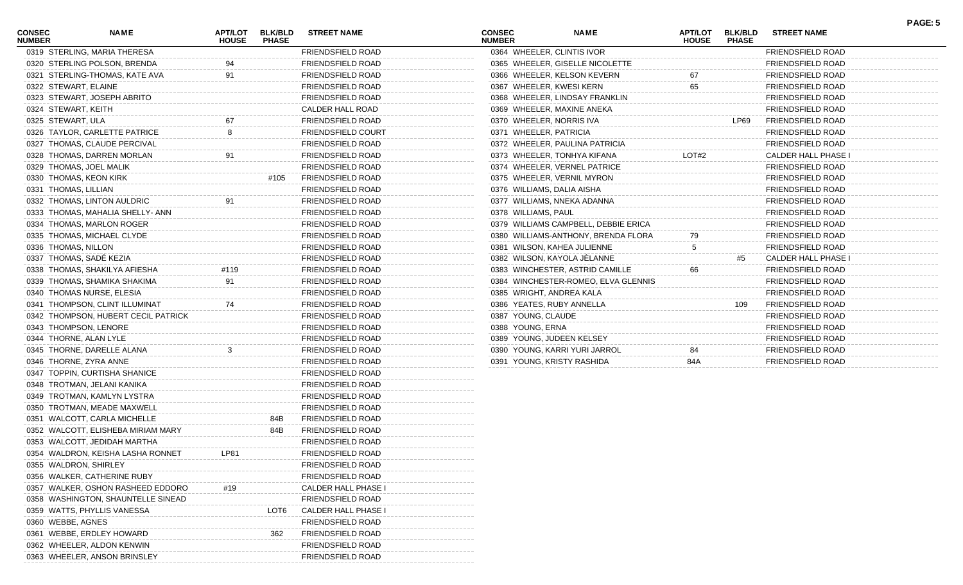| CONSEC<br><b>NUMBER</b> | <b>NAME</b>                         | <b>APT/LOT</b><br><b>HOUSE</b> | <b>BLK/BLD</b><br><b>PHASE</b> | <b>STREET NAME</b>        | <b>CONSEC</b><br><b>NUMBER</b> |                          | <b>NAME</b>                          | APT/LOT<br><b>HOUSE</b> | <b>BLK/BLD</b><br><b>PHASE</b> | <b>STREET NAME</b>         | PAGE: 5 |
|-------------------------|-------------------------------------|--------------------------------|--------------------------------|---------------------------|--------------------------------|--------------------------|--------------------------------------|-------------------------|--------------------------------|----------------------------|---------|
|                         | 0319 STERLING, MARIA THERESA        |                                |                                | FRIENDSFIELD ROAD         |                                |                          | 0364 WHEELER, CLINTIS IVOR           |                         |                                | FRIENDSFIELD ROAD          |         |
|                         | 0320 STERLING POLSON, BRENDA        | 94                             |                                | FRIENDSFIELD ROAD         |                                |                          | 0365 WHEELER, GISELLE NICOLETTE      |                         |                                | <b>FRIENDSFIELD ROAD</b>   |         |
|                         | 0321 STERLING-THOMAS, KATE AVA      | 91                             |                                | FRIENDSFIELD ROAD         |                                |                          | 0366 WHEELER, KELSON KEVERN          | 67                      |                                | <b>FRIENDSFIELD ROAD</b>   |         |
| 0322 STEWART, ELAINE    |                                     |                                |                                | FRIENDSFIELD ROAD         |                                |                          | 0367 WHEELER, KWESI KERN             | 65                      |                                | <b>FRIENDSFIELD ROAD</b>   |         |
|                         | 0323 STEWART, JOSEPH ABRITO         |                                |                                | FRIENDSFIELD ROAD         |                                |                          | 0368 WHEELER, LINDSAY FRANKLIN       |                         |                                | <b>FRIENDSFIELD ROAD</b>   |         |
| 0324 STEWART, KEITH     |                                     |                                |                                | CALDER HALL ROAD          |                                |                          | 0369 WHEELER, MAXINE ANEKA           |                         |                                | <b>FRIENDSFIELD ROAD</b>   |         |
| 0325 STEWART, ULA       |                                     | 67                             |                                | FRIENDSFIELD ROAD         |                                | 0370 WHEELER, NORRIS IVA |                                      |                         | LP69                           | <b>FRIENDSFIELD ROAD</b>   |         |
|                         | 0326 TAYLOR, CARLETTE PATRICE       | 8                              |                                | <b>FRIENDSFIELD COURT</b> |                                | 0371 WHEELER, PATRICIA   |                                      |                         |                                | <b>FRIENDSFIELD ROAD</b>   |         |
|                         | 0327 THOMAS, CLAUDE PERCIVAL        |                                |                                | FRIENDSFIELD ROAD         |                                |                          | 0372 WHEELER, PAULINA PATRICIA       |                         |                                | <b>FRIENDSFIELD ROAD</b>   |         |
|                         | 0328 THOMAS, DARREN MORLAN          | 91                             |                                | FRIENDSFIELD ROAD         |                                |                          | 0373 WHEELER, TONHYA KIFANA          | LOT#2                   |                                | <b>CALDER HALL PHASE I</b> |         |
|                         | 0329 THOMAS, JOEL MALIK             |                                |                                | FRIENDSFIELD ROAD         |                                |                          | 0374 WHEELER, VERNEL PATRICE         |                         |                                | <b>FRIENDSFIELD ROAD</b>   |         |
|                         | 0330 THOMAS, KEON KIRK              |                                | #105                           | <b>FRIENDSFIELD ROAD</b>  |                                |                          | 0375 WHEELER, VERNIL MYRON           |                         |                                | <b>FRIENDSFIELD ROAD</b>   |         |
| 0331 THOMAS, LILLIAN    |                                     |                                |                                | FRIENDSFIELD ROAD         |                                |                          | 0376 WILLIAMS, DALIA AISHA           |                         |                                | <b>FRIENDSFIELD ROAD</b>   |         |
|                         | 0332 THOMAS, LINTON AULDRIC         |                                |                                | FRIENDSFIELD ROAD         |                                |                          | 0377 WILLIAMS, NNEKA ADANNA          |                         |                                | <b>FRIENDSFIELD ROAD</b>   |         |
|                         | 0333 THOMAS, MAHALIA SHELLY- ANN    |                                |                                | FRIENDSFIELD ROAD         |                                | 0378 WILLIAMS, PAUL      |                                      |                         |                                | <b>FRIENDSFIELD ROAD</b>   |         |
|                         | 0334 THOMAS, MARLON ROGER           |                                |                                | FRIENDSFIELD ROAD         |                                |                          | 0379 WILLIAMS CAMPBELL, DEBBIE ERICA |                         |                                | <b>FRIENDSFIELD ROAD</b>   |         |
|                         | 0335 THOMAS, MICHAEL CLYDE          |                                |                                | FRIENDSFIELD ROAD         |                                |                          | 0380 WILLIAMS-ANTHONY, BRENDA FLORA  | 79                      |                                | <b>FRIENDSFIELD ROAD</b>   |         |
| 0336 THOMAS, NILLON     |                                     |                                |                                | FRIENDSFIELD ROAD         |                                |                          | 0381 WILSON, KAHEA JULIENNE          | 5                       |                                | <b>FRIENDSFIELD ROAD</b>   |         |
|                         | 0337 THOMAS, SADE KEZIA             |                                |                                | FRIENDSFIELD ROAD         |                                |                          | 0382 WILSON, KAYOLA JELANNE          |                         | #5                             | CALDER HALL PHASE I        |         |
|                         | 0338 THOMAS, SHAKILYA AFIESHA       | #119                           |                                | FRIENDSFIELD ROAD         |                                |                          | 0383 WINCHESTER, ASTRID CAMILLE      | 66                      |                                | <b>FRIENDSFIELD ROAD</b>   |         |
|                         | 0339 THOMAS, SHAMIKA SHAKIMA        | 91                             |                                | FRIENDSFIELD ROAD         |                                |                          | 0384 WINCHESTER-ROMEO, ELVA GLENNIS  |                         |                                | <b>FRIENDSFIELD ROAD</b>   |         |
|                         | 0340 THOMAS NURSE, ELESIA           |                                |                                | FRIENDSFIELD ROAD         |                                |                          | 0385 WRIGHT, ANDREA KALA             |                         |                                | <b>FRIENDSFIELD ROAD</b>   |         |
|                         | 0341 THOMPSON, CLINT ILLUMINAT      | 74                             |                                | FRIENDSFIELD ROAD         |                                |                          | 0386 YEATES, RUBY ANNELLA            |                         | 109                            | <b>FRIENDSFIELD ROAD</b>   |         |
|                         | 0342 THOMPSON, HUBERT CECIL PATRICK |                                |                                | FRIENDSFIELD ROAD         |                                | 0387 YOUNG, CLAUDE       |                                      |                         |                                | <b>FRIENDSFIELD ROAD</b>   |         |
|                         | 0343 THOMPSON, LENORE               |                                |                                | FRIENDSFIELD ROAD         |                                | 0388 YOUNG, ERNA         |                                      |                         |                                | FRIENDSFIELD ROAD          |         |
|                         | 0344 THORNE, ALAN LYLE              |                                |                                | FRIENDSFIELD ROAD         |                                |                          | 0389 YOUNG, JUDEEN KELSEY            |                         |                                | <b>FRIENDSFIELD ROAD</b>   |         |
|                         | 0345 THORNE, DARELLE ALANA          | 3                              |                                | FRIENDSFIELD ROAD         |                                |                          | 0390 YOUNG, KARRI YURI JARROL        | 84                      |                                | <b>FRIENDSFIELD ROAD</b>   |         |
|                         | 0346 THORNE, ZYRA ANNE              |                                |                                | FRIENDSFIELD ROAD         |                                |                          | 0391 YOUNG, KRISTY RASHIDA           | 84A                     |                                | <b>FRIENDSFIELD ROAD</b>   |         |
|                         | 0347 TOPPIN, CURTISHA SHANICE       |                                |                                | FRIENDSFIELD ROAD         |                                |                          |                                      |                         |                                |                            |         |
|                         | 0348 TROTMAN, JELANI KANIKA         |                                |                                | FRIENDSFIELD ROAD         |                                |                          |                                      |                         |                                |                            |         |
|                         | 0349 TROTMAN, KAMLYN LYSTRA         |                                |                                | FRIENDSFIELD ROAD         |                                |                          |                                      |                         |                                |                            |         |
|                         | 0350 TROTMAN, MEADE MAXWELL         |                                |                                | FRIENDSFIELD ROAD         |                                |                          |                                      |                         |                                |                            |         |
|                         | 0351 WALCOTT, CARLA MICHELLE        |                                | 84B                            | <b>FRIENDSFIELD ROAD</b>  |                                |                          |                                      |                         |                                |                            |         |
|                         | 0352 WALCOTT, ELISHEBA MIRIAM MARY  |                                | 84B                            | FRIENDSFIELD ROAD         |                                |                          |                                      |                         |                                |                            |         |
|                         | 0353 WALCOTT, JEDIDAH MARTHA        |                                |                                | FRIENDSFIELD ROAD         |                                |                          |                                      |                         |                                |                            |         |
|                         | 0354 WALDRON, KEISHA LASHA RONNET   |                                |                                |                           |                                |                          |                                      |                         |                                |                            |         |
|                         |                                     | LP81                           |                                | FRIENDSFIELD ROAD         |                                |                          |                                      |                         |                                |                            |         |
| 0355 WALDRON, SHIRLEY   |                                     |                                |                                | FRIENDSFIELD ROAD         |                                |                          |                                      |                         |                                |                            |         |
|                         | 0356 WALKER, CATHERINE RUBY         |                                |                                | FRIENDSFIELD ROAD         |                                |                          |                                      |                         |                                |                            |         |
|                         | 0357 WALKER, OSHON RASHEED EDDORO   |                                |                                | CALDER HALL PHASE         |                                |                          |                                      |                         |                                |                            |         |
|                         | 0358 WASHINGTON, SHAUNTELLE SINEAD  |                                |                                | FRIENDSFIELD ROAD         |                                |                          |                                      |                         |                                |                            |         |
|                         | 0359 WATTS, PHYLLIS VANESSA         |                                | LOT6                           | CALDER HALL PHASE         |                                |                          |                                      |                         |                                |                            |         |
| 0360 WEBBE, AGNES       |                                     |                                |                                | FRIENDSFIELD ROAD         |                                |                          |                                      |                         |                                |                            |         |
|                         | 0361 WEBBE, ERDLEY HOWARD           |                                | 362                            | <b>FRIENDSFIELD ROAD</b>  |                                |                          |                                      |                         |                                |                            |         |
|                         | 0362 WHEELER, ALDON KENWIN          |                                |                                | FRIENDSFIELD ROAD         |                                |                          |                                      |                         |                                |                            |         |
|                         | 0363 WHEELER, ANSON BRINSLEY        |                                |                                | FRIENDSFIELD ROAD         |                                |                          |                                      |                         |                                |                            |         |